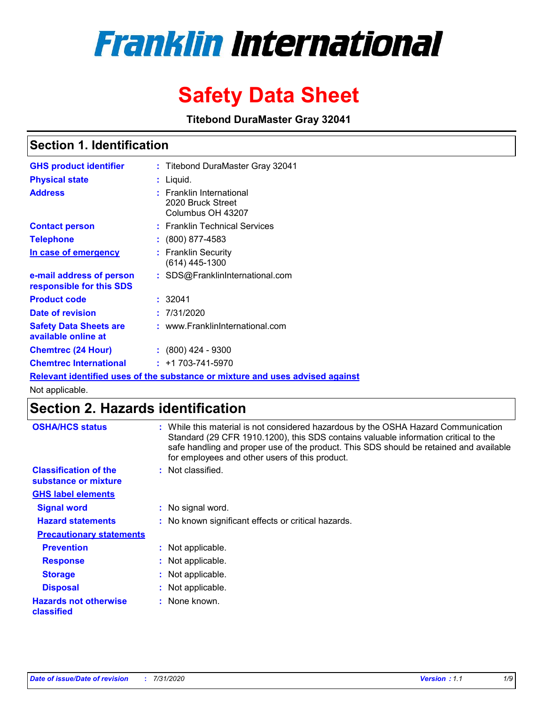# **Franklin International**

## **Safety Data Sheet**

**Titebond DuraMaster Gray 32041**

## **Section 1. Identification**

| <b>GHS product identifier</b>                                                 |  | : Titebond DuraMaster Gray 32041                                        |  |  |  |
|-------------------------------------------------------------------------------|--|-------------------------------------------------------------------------|--|--|--|
| <b>Physical state</b>                                                         |  | : Liquid.                                                               |  |  |  |
| <b>Address</b>                                                                |  | <b>Franklin International</b><br>2020 Bruck Street<br>Columbus OH 43207 |  |  |  |
| <b>Contact person</b>                                                         |  | : Franklin Technical Services                                           |  |  |  |
| <b>Telephone</b>                                                              |  | $\div$ (800) 877-4583                                                   |  |  |  |
| In case of emergency                                                          |  | : Franklin Security<br>(614) 445-1300                                   |  |  |  |
| e-mail address of person<br>responsible for this SDS                          |  | : SDS@FranklinInternational.com                                         |  |  |  |
| <b>Product code</b>                                                           |  | : 32041                                                                 |  |  |  |
| Date of revision                                                              |  | : 7/31/2020                                                             |  |  |  |
| <b>Safety Data Sheets are</b><br>available online at                          |  | : www.FranklinInternational.com                                         |  |  |  |
| <b>Chemtrec (24 Hour)</b>                                                     |  | $: (800)$ 424 - 9300                                                    |  |  |  |
| <b>Chemtrec International</b>                                                 |  | $: +1703 - 741 - 5970$                                                  |  |  |  |
| Relevant identified uses of the substance or mixture and uses advised against |  |                                                                         |  |  |  |

Not applicable.

## **Section 2. Hazards identification**

| <b>OSHA/HCS status</b>                               |    | : While this material is not considered hazardous by the OSHA Hazard Communication<br>Standard (29 CFR 1910.1200), this SDS contains valuable information critical to the<br>safe handling and proper use of the product. This SDS should be retained and available<br>for employees and other users of this product. |
|------------------------------------------------------|----|-----------------------------------------------------------------------------------------------------------------------------------------------------------------------------------------------------------------------------------------------------------------------------------------------------------------------|
| <b>Classification of the</b><br>substance or mixture |    | Not classified.                                                                                                                                                                                                                                                                                                       |
| <b>GHS label elements</b>                            |    |                                                                                                                                                                                                                                                                                                                       |
| <b>Signal word</b>                                   |    | : No signal word.                                                                                                                                                                                                                                                                                                     |
| <b>Hazard statements</b>                             |    | : No known significant effects or critical hazards.                                                                                                                                                                                                                                                                   |
| <b>Precautionary statements</b>                      |    |                                                                                                                                                                                                                                                                                                                       |
| <b>Prevention</b>                                    |    | Not applicable.                                                                                                                                                                                                                                                                                                       |
| <b>Response</b>                                      | ÷. | Not applicable.                                                                                                                                                                                                                                                                                                       |
| <b>Storage</b>                                       | ÷. | Not applicable.                                                                                                                                                                                                                                                                                                       |
| <b>Disposal</b>                                      | ÷. | Not applicable.                                                                                                                                                                                                                                                                                                       |
| <b>Hazards not otherwise</b><br>classified           |    | : None known.                                                                                                                                                                                                                                                                                                         |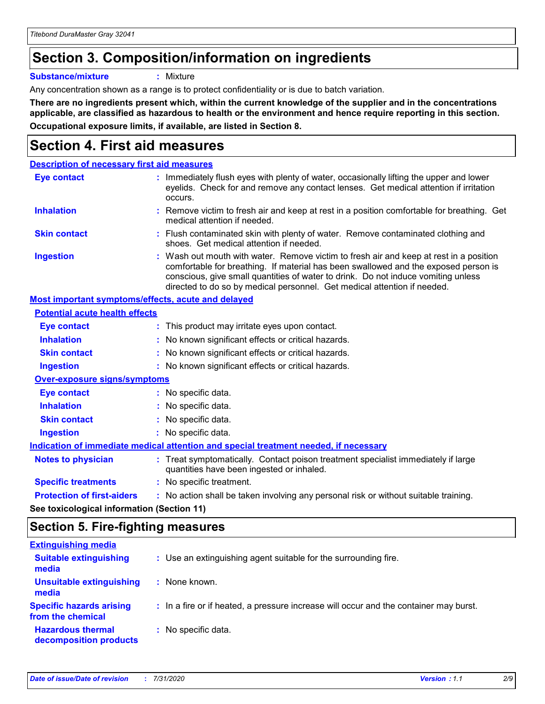## **Section 3. Composition/information on ingredients**

**Substance/mixture :** Mixture

Any concentration shown as a range is to protect confidentiality or is due to batch variation.

**There are no ingredients present which, within the current knowledge of the supplier and in the concentrations applicable, are classified as hazardous to health or the environment and hence require reporting in this section. Occupational exposure limits, if available, are listed in Section 8.**

## **Section 4. First aid measures**

| <b>Description of necessary first aid measures</b>        |                                                                                                                                                                                                                                                                                                                                                |
|-----------------------------------------------------------|------------------------------------------------------------------------------------------------------------------------------------------------------------------------------------------------------------------------------------------------------------------------------------------------------------------------------------------------|
| <b>Eye contact</b>                                        | : Immediately flush eyes with plenty of water, occasionally lifting the upper and lower<br>eyelids. Check for and remove any contact lenses. Get medical attention if irritation<br>occurs.                                                                                                                                                    |
| <b>Inhalation</b>                                         | : Remove victim to fresh air and keep at rest in a position comfortable for breathing. Get<br>medical attention if needed.                                                                                                                                                                                                                     |
| <b>Skin contact</b>                                       | : Flush contaminated skin with plenty of water. Remove contaminated clothing and<br>shoes. Get medical attention if needed.                                                                                                                                                                                                                    |
| <b>Ingestion</b>                                          | : Wash out mouth with water. Remove victim to fresh air and keep at rest in a position<br>comfortable for breathing. If material has been swallowed and the exposed person is<br>conscious, give small quantities of water to drink. Do not induce vomiting unless<br>directed to do so by medical personnel. Get medical attention if needed. |
| <b>Most important symptoms/effects, acute and delayed</b> |                                                                                                                                                                                                                                                                                                                                                |
| <b>Potential acute health effects</b>                     |                                                                                                                                                                                                                                                                                                                                                |
| Eye contact                                               | : This product may irritate eyes upon contact.                                                                                                                                                                                                                                                                                                 |
| <b>Inhalation</b>                                         | : No known significant effects or critical hazards.                                                                                                                                                                                                                                                                                            |
| <b>Skin contact</b>                                       | : No known significant effects or critical hazards.                                                                                                                                                                                                                                                                                            |
| <b>Ingestion</b>                                          | : No known significant effects or critical hazards.                                                                                                                                                                                                                                                                                            |
| <b>Over-exposure signs/symptoms</b>                       |                                                                                                                                                                                                                                                                                                                                                |
| <b>Eye contact</b>                                        | : No specific data.                                                                                                                                                                                                                                                                                                                            |
| <b>Inhalation</b>                                         | : No specific data.                                                                                                                                                                                                                                                                                                                            |
| <b>Skin contact</b>                                       | : No specific data.                                                                                                                                                                                                                                                                                                                            |
| <b>Ingestion</b>                                          | : No specific data.                                                                                                                                                                                                                                                                                                                            |
|                                                           | Indication of immediate medical attention and special treatment needed, if necessary                                                                                                                                                                                                                                                           |
| <b>Notes to physician</b>                                 | : Treat symptomatically. Contact poison treatment specialist immediately if large<br>quantities have been ingested or inhaled.                                                                                                                                                                                                                 |
| <b>Specific treatments</b>                                | : No specific treatment.                                                                                                                                                                                                                                                                                                                       |
| <b>Protection of first-aiders</b>                         | : No action shall be taken involving any personal risk or without suitable training.                                                                                                                                                                                                                                                           |
|                                                           |                                                                                                                                                                                                                                                                                                                                                |

**See toxicological information (Section 11)**

#### **Section 5. Fire-fighting measures**

| <b>Extinguishing media</b>                           |                                                                                       |
|------------------------------------------------------|---------------------------------------------------------------------------------------|
| <b>Suitable extinguishing</b><br>media               | : Use an extinguishing agent suitable for the surrounding fire.                       |
| <b>Unsuitable extinguishing</b><br>media             | : None known.                                                                         |
| <b>Specific hazards arising</b><br>from the chemical | : In a fire or if heated, a pressure increase will occur and the container may burst. |
| <b>Hazardous thermal</b><br>decomposition products   | : No specific data.                                                                   |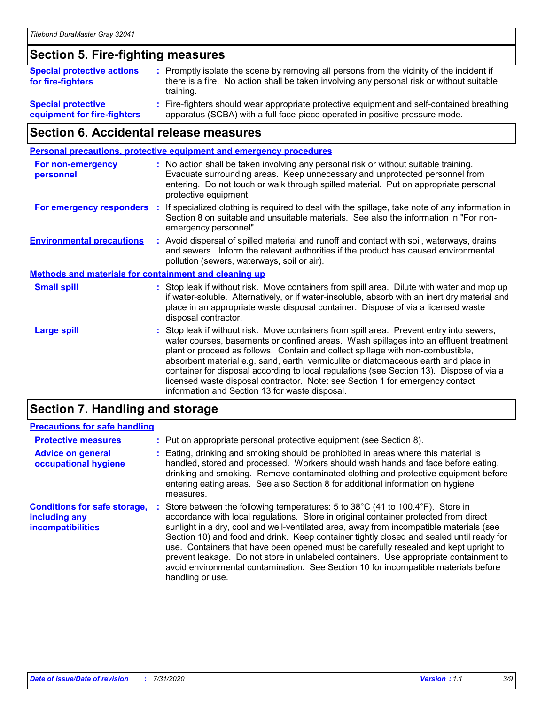## **Section 5. Fire-fighting measures**

| <b>Special protective actions</b><br>for fire-fighters   | : Promptly isolate the scene by removing all persons from the vicinity of the incident if<br>there is a fire. No action shall be taken involving any personal risk or without suitable<br>training. |
|----------------------------------------------------------|-----------------------------------------------------------------------------------------------------------------------------------------------------------------------------------------------------|
| <b>Special protective</b><br>equipment for fire-fighters | Fire-fighters should wear appropriate protective equipment and self-contained breathing<br>apparatus (SCBA) with a full face-piece operated in positive pressure mode.                              |

## **Section 6. Accidental release measures**

| <b>Personal precautions, protective equipment and emergency procedures</b> |  |                                                                                                                                                                                                                                                                                                                                                                                                                                                                                                                                                                                            |
|----------------------------------------------------------------------------|--|--------------------------------------------------------------------------------------------------------------------------------------------------------------------------------------------------------------------------------------------------------------------------------------------------------------------------------------------------------------------------------------------------------------------------------------------------------------------------------------------------------------------------------------------------------------------------------------------|
| For non-emergency<br>personnel                                             |  | : No action shall be taken involving any personal risk or without suitable training.<br>Evacuate surrounding areas. Keep unnecessary and unprotected personnel from<br>entering. Do not touch or walk through spilled material. Put on appropriate personal<br>protective equipment.                                                                                                                                                                                                                                                                                                       |
| For emergency responders                                                   |  | : If specialized clothing is required to deal with the spillage, take note of any information in<br>Section 8 on suitable and unsuitable materials. See also the information in "For non-<br>emergency personnel".                                                                                                                                                                                                                                                                                                                                                                         |
| <b>Environmental precautions</b>                                           |  | : Avoid dispersal of spilled material and runoff and contact with soil, waterways, drains<br>and sewers. Inform the relevant authorities if the product has caused environmental<br>pollution (sewers, waterways, soil or air).                                                                                                                                                                                                                                                                                                                                                            |
| <b>Methods and materials for containment and cleaning up</b>               |  |                                                                                                                                                                                                                                                                                                                                                                                                                                                                                                                                                                                            |
| <b>Small spill</b>                                                         |  | : Stop leak if without risk. Move containers from spill area. Dilute with water and mop up<br>if water-soluble. Alternatively, or if water-insoluble, absorb with an inert dry material and<br>place in an appropriate waste disposal container. Dispose of via a licensed waste<br>disposal contractor.                                                                                                                                                                                                                                                                                   |
| <b>Large spill</b>                                                         |  | : Stop leak if without risk. Move containers from spill area. Prevent entry into sewers,<br>water courses, basements or confined areas. Wash spillages into an effluent treatment<br>plant or proceed as follows. Contain and collect spillage with non-combustible,<br>absorbent material e.g. sand, earth, vermiculite or diatomaceous earth and place in<br>container for disposal according to local regulations (see Section 13). Dispose of via a<br>licensed waste disposal contractor. Note: see Section 1 for emergency contact<br>information and Section 13 for waste disposal. |
|                                                                            |  |                                                                                                                                                                                                                                                                                                                                                                                                                                                                                                                                                                                            |

#### **Section 7. Handling and storage**

#### **Precautions for safe handling**

| <b>Protective measures</b>                                                | : Put on appropriate personal protective equipment (see Section 8).                                                                                                                                                                                                                                                                                                                                                                                                                                                                                                                                                                                      |
|---------------------------------------------------------------------------|----------------------------------------------------------------------------------------------------------------------------------------------------------------------------------------------------------------------------------------------------------------------------------------------------------------------------------------------------------------------------------------------------------------------------------------------------------------------------------------------------------------------------------------------------------------------------------------------------------------------------------------------------------|
| <b>Advice on general</b><br>occupational hygiene                          | : Eating, drinking and smoking should be prohibited in areas where this material is<br>handled, stored and processed. Workers should wash hands and face before eating,<br>drinking and smoking. Remove contaminated clothing and protective equipment before<br>entering eating areas. See also Section 8 for additional information on hygiene<br>measures.                                                                                                                                                                                                                                                                                            |
| <b>Conditions for safe storage,</b><br>including any<br>incompatibilities | Store between the following temperatures: 5 to 38°C (41 to 100.4°F). Store in<br>accordance with local regulations. Store in original container protected from direct<br>sunlight in a dry, cool and well-ventilated area, away from incompatible materials (see<br>Section 10) and food and drink. Keep container tightly closed and sealed until ready for<br>use. Containers that have been opened must be carefully resealed and kept upright to<br>prevent leakage. Do not store in unlabeled containers. Use appropriate containment to<br>avoid environmental contamination. See Section 10 for incompatible materials before<br>handling or use. |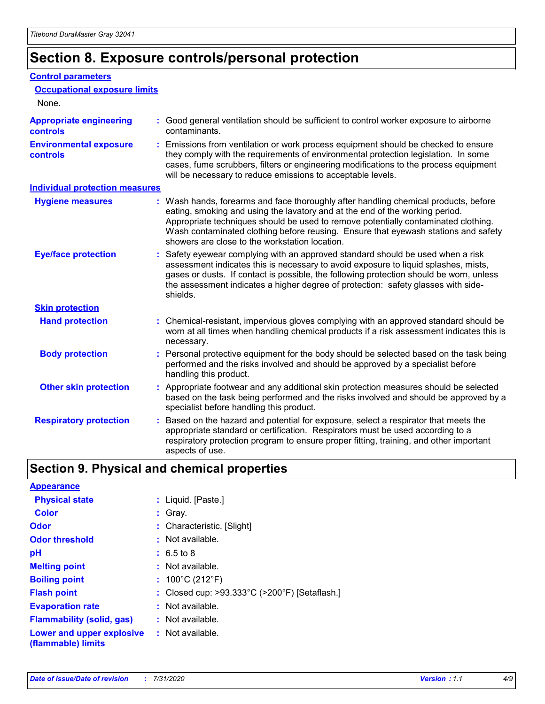## **Section 8. Exposure controls/personal protection**

#### **Control parameters**

| <b>Occupational exposure limits</b>               |                                                                                                                                                                                                                                                                                                                                                                                                   |
|---------------------------------------------------|---------------------------------------------------------------------------------------------------------------------------------------------------------------------------------------------------------------------------------------------------------------------------------------------------------------------------------------------------------------------------------------------------|
| None.                                             |                                                                                                                                                                                                                                                                                                                                                                                                   |
| <b>Appropriate engineering</b><br><b>controls</b> | : Good general ventilation should be sufficient to control worker exposure to airborne<br>contaminants.                                                                                                                                                                                                                                                                                           |
| <b>Environmental exposure</b><br><b>controls</b>  | : Emissions from ventilation or work process equipment should be checked to ensure<br>they comply with the requirements of environmental protection legislation. In some<br>cases, fume scrubbers, filters or engineering modifications to the process equipment<br>will be necessary to reduce emissions to acceptable levels.                                                                   |
| <b>Individual protection measures</b>             |                                                                                                                                                                                                                                                                                                                                                                                                   |
| <b>Hygiene measures</b>                           | : Wash hands, forearms and face thoroughly after handling chemical products, before<br>eating, smoking and using the lavatory and at the end of the working period.<br>Appropriate techniques should be used to remove potentially contaminated clothing.<br>Wash contaminated clothing before reusing. Ensure that eyewash stations and safety<br>showers are close to the workstation location. |
| <b>Eye/face protection</b>                        | : Safety eyewear complying with an approved standard should be used when a risk<br>assessment indicates this is necessary to avoid exposure to liquid splashes, mists,<br>gases or dusts. If contact is possible, the following protection should be worn, unless<br>the assessment indicates a higher degree of protection: safety glasses with side-<br>shields.                                |
| <b>Skin protection</b>                            |                                                                                                                                                                                                                                                                                                                                                                                                   |
| <b>Hand protection</b>                            | : Chemical-resistant, impervious gloves complying with an approved standard should be<br>worn at all times when handling chemical products if a risk assessment indicates this is<br>necessary.                                                                                                                                                                                                   |
| <b>Body protection</b>                            | : Personal protective equipment for the body should be selected based on the task being<br>performed and the risks involved and should be approved by a specialist before<br>handling this product.                                                                                                                                                                                               |
| <b>Other skin protection</b>                      | : Appropriate footwear and any additional skin protection measures should be selected<br>based on the task being performed and the risks involved and should be approved by a<br>specialist before handling this product.                                                                                                                                                                         |
| <b>Respiratory protection</b>                     | : Based on the hazard and potential for exposure, select a respirator that meets the<br>appropriate standard or certification. Respirators must be used according to a<br>respiratory protection program to ensure proper fitting, training, and other important<br>aspects of use.                                                                                                               |

## **Section 9. Physical and chemical properties**

| <b>Appearance</b>                                                       |                                               |
|-------------------------------------------------------------------------|-----------------------------------------------|
| <b>Physical state</b>                                                   | : Liquid. [Paste.]                            |
| <b>Color</b>                                                            | $:$ Gray.                                     |
| <b>Odor</b>                                                             | : Characteristic. [Slight]                    |
| <b>Odor threshold</b>                                                   | : Not available.                              |
| рH                                                                      | $: 6.5 \text{ to } 8$                         |
| <b>Melting point</b>                                                    | : Not available.                              |
| <b>Boiling point</b>                                                    | : $100^{\circ}$ C (212 $^{\circ}$ F)          |
| <b>Flash point</b>                                                      | : Closed cup: >93.333°C (>200°F) [Setaflash.] |
| <b>Evaporation rate</b>                                                 | : Not available.                              |
| <b>Flammability (solid, gas)</b>                                        | $:$ Not available.                            |
| <b>Lower and upper explosive : Not available.</b><br>(flammable) limits |                                               |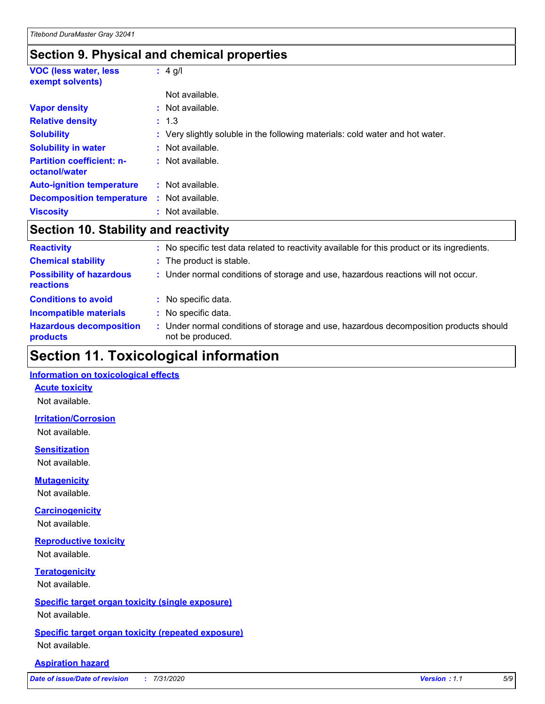### **Section 9. Physical and chemical properties**

| <b>VOC (less water, less)</b><br>exempt solvents) | $: 4$ g/l                                                                     |
|---------------------------------------------------|-------------------------------------------------------------------------------|
|                                                   | Not available.                                                                |
| <b>Vapor density</b>                              | : Not available.                                                              |
| <b>Relative density</b>                           | : 1.3                                                                         |
| <b>Solubility</b>                                 | : Very slightly soluble in the following materials: cold water and hot water. |
| <b>Solubility in water</b>                        | : Not available.                                                              |
| <b>Partition coefficient: n-</b><br>octanol/water | : Not available.                                                              |
| <b>Auto-ignition temperature</b>                  | : Not available.                                                              |
| <b>Decomposition temperature</b>                  | : Not available.                                                              |
| <b>Viscosity</b>                                  | : Not available.                                                              |

## **Section 10. Stability and reactivity**

| <b>Reactivity</b>                            | : No specific test data related to reactivity available for this product or its ingredients.              |
|----------------------------------------------|-----------------------------------------------------------------------------------------------------------|
| <b>Chemical stability</b>                    | : The product is stable.                                                                                  |
| <b>Possibility of hazardous</b><br>reactions | : Under normal conditions of storage and use, hazardous reactions will not occur.                         |
| <b>Conditions to avoid</b>                   | : No specific data.                                                                                       |
| <b>Incompatible materials</b>                | : No specific data.                                                                                       |
| <b>Hazardous decomposition</b><br>products   | : Under normal conditions of storage and use, hazardous decomposition products should<br>not be produced. |

## **Section 11. Toxicological information**

#### **Information on toxicological effects**

#### **Acute toxicity**

Not available.

#### **Irritation/Corrosion**

Not available.

#### **Sensitization**

Not available.

#### **Mutagenicity**

Not available.

#### **Carcinogenicity**

Not available.

#### **Reproductive toxicity**

Not available.

#### **Teratogenicity**

Not available.

#### **Specific target organ toxicity (single exposure)**

Not available.

#### **Specific target organ toxicity (repeated exposure)** Not available.

#### **Aspiration hazard**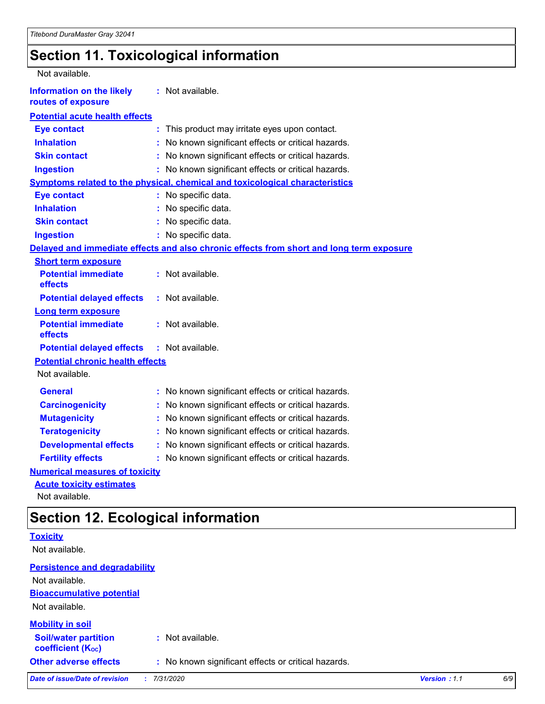## **Section 11. Toxicological information**

| Not available.                                         |                                                                                          |
|--------------------------------------------------------|------------------------------------------------------------------------------------------|
| <b>Information on the likely</b><br>routes of exposure | : Not available.                                                                         |
| <b>Potential acute health effects</b>                  |                                                                                          |
| <b>Eye contact</b>                                     | This product may irritate eyes upon contact.<br>÷.                                       |
| <b>Inhalation</b>                                      | No known significant effects or critical hazards.                                        |
| <b>Skin contact</b>                                    | No known significant effects or critical hazards.<br>t.                                  |
| <b>Ingestion</b>                                       | : No known significant effects or critical hazards.                                      |
|                                                        | <b>Symptoms related to the physical, chemical and toxicological characteristics</b>      |
| <b>Eye contact</b>                                     | : No specific data.                                                                      |
| <b>Inhalation</b>                                      | : No specific data.                                                                      |
| <b>Skin contact</b>                                    | No specific data.                                                                        |
| <b>Ingestion</b>                                       | : No specific data.                                                                      |
|                                                        | Delayed and immediate effects and also chronic effects from short and long term exposure |
| <b>Short term exposure</b>                             |                                                                                          |
| <b>Potential immediate</b><br>effects                  | : Not available.                                                                         |
| <b>Potential delayed effects</b>                       | : Not available.                                                                         |
| <b>Long term exposure</b>                              |                                                                                          |
| <b>Potential immediate</b><br>effects                  | : Not available.                                                                         |
| <b>Potential delayed effects</b>                       | : Not available.                                                                         |
| <b>Potential chronic health effects</b>                |                                                                                          |
| Not available.                                         |                                                                                          |
| <b>General</b>                                         | : No known significant effects or critical hazards.                                      |
| <b>Carcinogenicity</b>                                 | No known significant effects or critical hazards.                                        |
| <b>Mutagenicity</b>                                    | No known significant effects or critical hazards.                                        |
| <b>Teratogenicity</b>                                  | No known significant effects or critical hazards.                                        |
| <b>Developmental effects</b>                           | No known significant effects or critical hazards.                                        |
| <b>Fertility effects</b>                               | : No known significant effects or critical hazards.                                      |
| <b>Numerical measures of toxicity</b>                  |                                                                                          |
| <b>Acute toxicity estimates</b>                        |                                                                                          |

Not available.

## **Section 12. Ecological information**

| <b>Toxicity</b>                                         |                                                     |              |     |
|---------------------------------------------------------|-----------------------------------------------------|--------------|-----|
| Not available.                                          |                                                     |              |     |
| <b>Persistence and degradability</b>                    |                                                     |              |     |
| Not available.                                          |                                                     |              |     |
| <b>Bioaccumulative potential</b>                        |                                                     |              |     |
| Not available.                                          |                                                     |              |     |
| <b>Mobility in soil</b>                                 |                                                     |              |     |
| <b>Soil/water partition</b><br><b>coefficient (Koc)</b> | : Not available.                                    |              |     |
| <b>Other adverse effects</b>                            | : No known significant effects or critical hazards. |              |     |
| <b>Date of issue/Date of revision</b>                   | 7/31/2020<br>t.                                     | Version: 1.1 | 6/9 |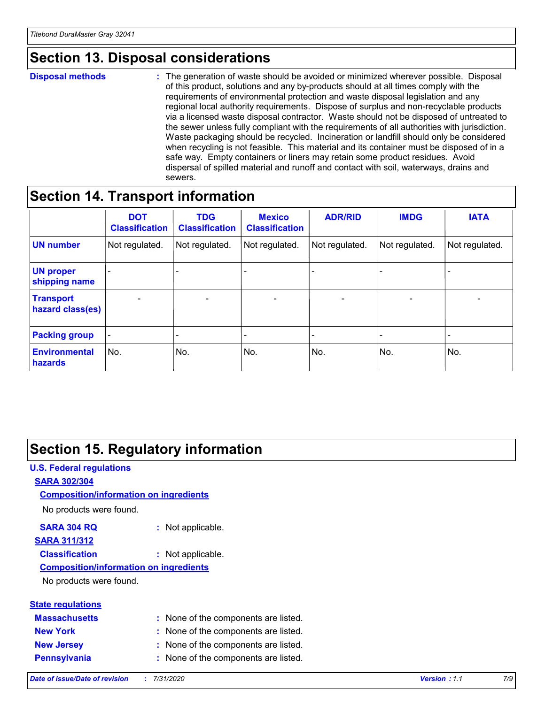## **Section 13. Disposal considerations**

#### **Disposal methods :**

The generation of waste should be avoided or minimized wherever possible. Disposal of this product, solutions and any by-products should at all times comply with the requirements of environmental protection and waste disposal legislation and any regional local authority requirements. Dispose of surplus and non-recyclable products via a licensed waste disposal contractor. Waste should not be disposed of untreated to the sewer unless fully compliant with the requirements of all authorities with jurisdiction. Waste packaging should be recycled. Incineration or landfill should only be considered when recycling is not feasible. This material and its container must be disposed of in a safe way. Empty containers or liners may retain some product residues. Avoid dispersal of spilled material and runoff and contact with soil, waterways, drains and sewers.

## **Section 14. Transport information**

|                                      | <b>DOT</b><br><b>Classification</b> | <b>TDG</b><br><b>Classification</b> | <b>Mexico</b><br><b>Classification</b> | <b>ADR/RID</b>           | <b>IMDG</b>              | <b>IATA</b>                  |
|--------------------------------------|-------------------------------------|-------------------------------------|----------------------------------------|--------------------------|--------------------------|------------------------------|
| <b>UN number</b>                     | Not regulated.                      | Not regulated.                      | Not regulated.                         | Not regulated.           | Not regulated.           | Not regulated.               |
| <b>UN proper</b><br>shipping name    | $\overline{\phantom{0}}$            | $\overline{\phantom{0}}$            | $\overline{\phantom{0}}$               | $\overline{\phantom{0}}$ | $\overline{\phantom{0}}$ | $\qquad \qquad \blacksquare$ |
| <b>Transport</b><br>hazard class(es) | $\blacksquare$                      | $\overline{\phantom{a}}$            | $\overline{\phantom{a}}$               | $\overline{\phantom{a}}$ | $\blacksquare$           | $\overline{\phantom{a}}$     |
| <b>Packing group</b>                 | Ξ.                                  | -                                   | -                                      | -                        |                          |                              |
| <b>Environmental</b><br>hazards      | No.                                 | No.                                 | No.                                    | No.                      | No.                      | No.                          |

## **Section 15. Regulatory information**

#### **U.S. Federal regulations SARA 302/304** No products were found. **Composition/information on ingredients**

#### **SARA 304 RQ :** Not applicable.

#### **SARA 311/312**

**Classification :** Not applicable.

#### **Composition/information on ingredients**

No products were found.

| <b>State regulations</b> |  |
|--------------------------|--|
| <b>Massachusetts</b>     |  |
| <b>New York</b>          |  |

None of the components are listed.

- **New York :** None of the components are listed.
- **New Jersey :** None of the components are listed.
- **Pennsylvania :** None of the components are listed.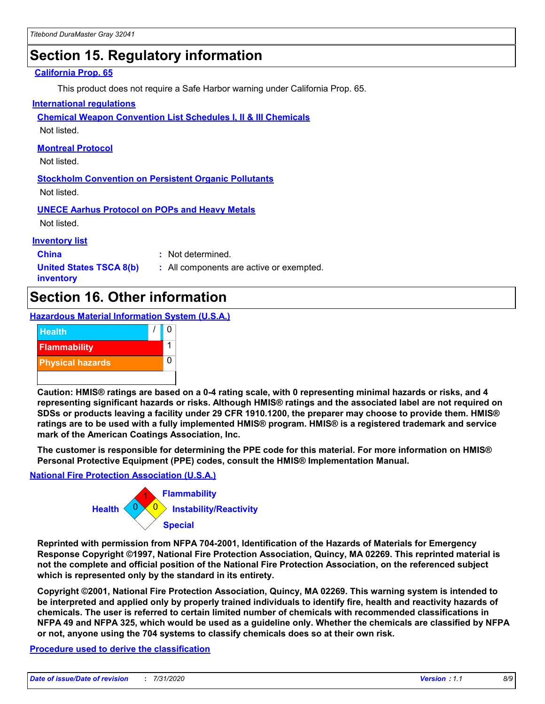## **Section 15. Regulatory information**

#### **California Prop. 65**

This product does not require a Safe Harbor warning under California Prop. 65.

#### **International regulations**

**Chemical Weapon Convention List Schedules I, II & III Chemicals**

Not listed.

#### **Montreal Protocol**

Not listed.

**Stockholm Convention on Persistent Organic Pollutants** Not listed.

**UNECE Aarhus Protocol on POPs and Heavy Metals**

Not listed.

#### **Inventory list**

**China :** Not determined.

**United States TSCA 8(b) inventory**

**:** All components are active or exempted.

## **Section 16. Other information**

**Hazardous Material Information System (U.S.A.)**



**Caution: HMIS® ratings are based on a 0-4 rating scale, with 0 representing minimal hazards or risks, and 4 representing significant hazards or risks. Although HMIS® ratings and the associated label are not required on SDSs or products leaving a facility under 29 CFR 1910.1200, the preparer may choose to provide them. HMIS® ratings are to be used with a fully implemented HMIS® program. HMIS® is a registered trademark and service mark of the American Coatings Association, Inc.**

**The customer is responsible for determining the PPE code for this material. For more information on HMIS® Personal Protective Equipment (PPE) codes, consult the HMIS® Implementation Manual.**

#### **National Fire Protection Association (U.S.A.)**



**Reprinted with permission from NFPA 704-2001, Identification of the Hazards of Materials for Emergency Response Copyright ©1997, National Fire Protection Association, Quincy, MA 02269. This reprinted material is not the complete and official position of the National Fire Protection Association, on the referenced subject which is represented only by the standard in its entirety.**

**Copyright ©2001, National Fire Protection Association, Quincy, MA 02269. This warning system is intended to be interpreted and applied only by properly trained individuals to identify fire, health and reactivity hazards of chemicals. The user is referred to certain limited number of chemicals with recommended classifications in NFPA 49 and NFPA 325, which would be used as a guideline only. Whether the chemicals are classified by NFPA or not, anyone using the 704 systems to classify chemicals does so at their own risk.**

#### **Procedure used to derive the classification**